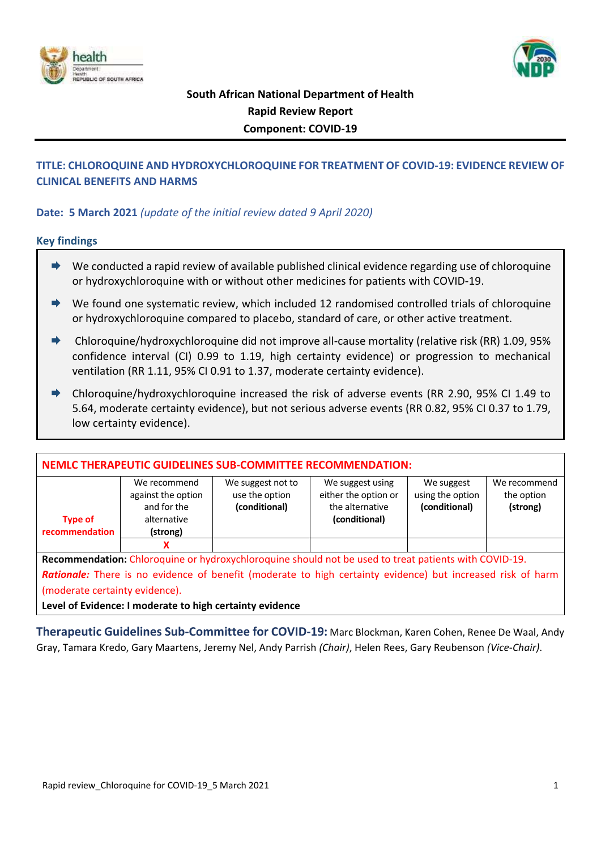



# **South African National Department of Health Rapid Review Report Component: COVID-19**

# **TITLE: CHLOROQUINE AND HYDROXYCHLOROQUINE FOR TREATMENT OF COVID-19: EVIDENCE REVIEW OF CLINICAL BENEFITS AND HARMS**

## **Date: 5 March 2021** *(update of the initial review dated 9 April 2020)*

## **Key findings**

- $\rightarrow$  We conducted a rapid review of available published clinical evidence regarding use of chloroquine or hydroxychloroquine with or without other medicines for patients with COVID-19.
- $\rightarrow$  We found one systematic review, which included 12 randomised controlled trials of chloroquine or hydroxychloroquine compared to placebo, standard of care, or other active treatment.
- $\rightarrow$  Chloroquine/hydroxychloroquine did not improve all-cause mortality (relative risk (RR) 1.09, 95% confidence interval (CI) 0.99 to 1.19, high certainty evidence) or progression to mechanical ventilation (RR 1.11, 95% CI 0.91 to 1.37, moderate certainty evidence).
- Chloroquine/hydroxychloroquine increased the risk of adverse events (RR 2.90, 95% CI 1.49 to 5.64, moderate certainty evidence), but not serious adverse events (RR 0.82, 95% CI 0.37 to 1.79, low certainty evidence).

| NEMLC THERAPEUTIC GUIDELINES SUB-COMMITTEE RECOMMENDATION:                                                  |                                                                                                       |                                                      |                                                                              |                                                 |                                        |  |  |  |
|-------------------------------------------------------------------------------------------------------------|-------------------------------------------------------------------------------------------------------|------------------------------------------------------|------------------------------------------------------------------------------|-------------------------------------------------|----------------------------------------|--|--|--|
| <b>Type of</b><br>recommendation                                                                            | We recommend<br>against the option<br>and for the<br>alternative<br>(strong)                          | We suggest not to<br>use the option<br>(conditional) | We suggest using<br>either the option or<br>the alternative<br>(conditional) | We suggest<br>using the option<br>(conditional) | We recommend<br>the option<br>(strong) |  |  |  |
|                                                                                                             | x                                                                                                     |                                                      |                                                                              |                                                 |                                        |  |  |  |
|                                                                                                             | Recommendation: Chloroquine or hydroxychloroquine should not be used to treat patients with COVID-19. |                                                      |                                                                              |                                                 |                                        |  |  |  |
| Rationale: There is no evidence of benefit (moderate to high certainty evidence) but increased risk of harm |                                                                                                       |                                                      |                                                                              |                                                 |                                        |  |  |  |
| (moderate certainty evidence).                                                                              |                                                                                                       |                                                      |                                                                              |                                                 |                                        |  |  |  |
| Level of Evidence: I moderate to high certainty evidence                                                    |                                                                                                       |                                                      |                                                                              |                                                 |                                        |  |  |  |

**Therapeutic Guidelines Sub-Committee for COVID-19:** Marc Blockman, Karen Cohen, Renee De Waal, Andy Gray, Tamara Kredo, Gary Maartens, Jeremy Nel, Andy Parrish *(Chair)*, Helen Rees, Gary Reubenson *(Vice-Chair)*.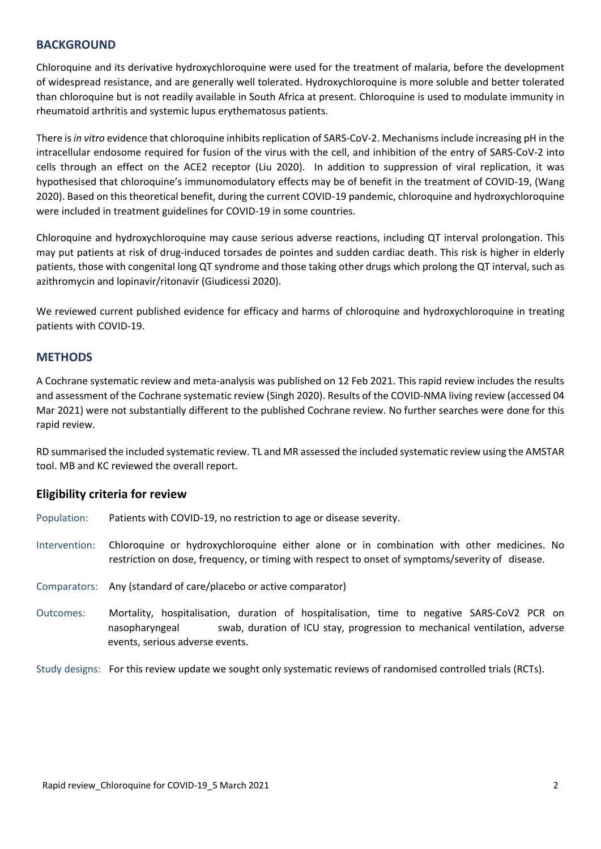## **BACKGROUND**

Chloroquine and its derivative hydroxychloroquine were used for the treatment of malaria, before the development of widespread resistance, and are generally well tolerated. Hydroxychloroquine is more soluble and better tolerated than chloroquine but is not readily available in South Africa at present. Chloroquine is used to modulate immunity in rheumatoid arthritis and systemic lupus erythematosus patients.

There is*in vitro* evidence that chloroquine inhibits replication of SARS-CoV-2. Mechanisms include increasing pH in the intracellular endosome required for fusion of the virus with the cell, and inhibition of the entry of SARS-CoV-2 into cells through an effect on the ACE2 receptor (Liu 2020). In addition to suppression of viral replication, it was hypothesised that chloroquine's immunomodulatory effects may be of benefit in the treatment of COVID-19, (Wang 2020). Based on this theoretical benefit, during the current COVID-19 pandemic, chloroquine and hydroxychloroquine were included in treatment guidelines for COVID-19 in some countries.

Chloroquine and hydroxychloroquine may cause serious adverse reactions, including QT interval prolongation. This may put patients at risk of drug-induced torsades de pointes and sudden cardiac death. This risk is higher in elderly patients, those with congenital long QT syndrome and those taking other drugs which prolong the QT interval, such as azithromycin and lopinavir/ritonavir (Giudicessi 2020).

We reviewed current published evidence for efficacy and harms of chloroquine and hydroxychloroquine in treating patients with COVID-19.

## **METHODS**

A Cochrane systematic review and meta-analysis was published on 12 Feb 2021. This rapid review includes the results and assessment of the Cochrane systematic review (Singh 2020). Results of the COVID-NMA living review (accessed 04 Mar 2021) were not substantially different to the published Cochrane review. No further searches were done for this rapid review.

RD summarised the included systematic review. TL and MR assessed the included systematic review using the AMSTAR tool. MB and KC reviewed the overall report.

## **Eligibility criteria for review**

- Population: Patients with COVID-19, no restriction to age or disease severity.
- Intervention: Chloroquine or hydroxychloroquine either alone or in combination with other medicines. No restriction on dose, frequency, or timing with respect to onset of symptoms/severity of disease.
- Comparators: Any (standard of care/placebo or active comparator)
- Outcomes: Mortality, hospitalisation, duration of hospitalisation, time to negative SARS-CoV2 PCR on nasopharyngeal swab, duration of ICU stay, progression to mechanical ventilation, adverse events, serious adverse events.

Study designs: For this review update we sought only systematic reviews of randomised controlled trials (RCTs).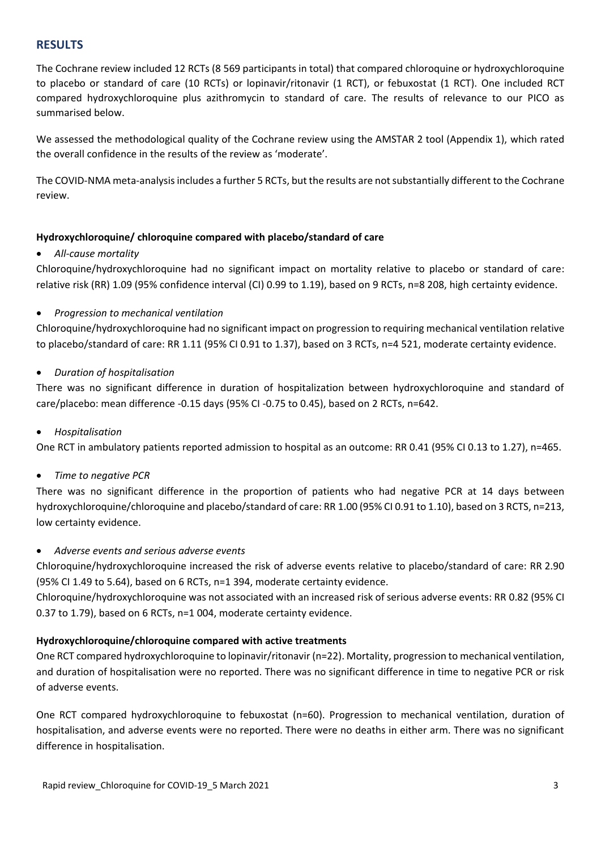## **RESULTS**

The Cochrane review included 12 RCTs (8 569 participants in total) that compared chloroquine or hydroxychloroquine to placebo or standard of care (10 RCTs) or lopinavir/ritonavir (1 RCT), or febuxostat (1 RCT). One included RCT compared hydroxychloroquine plus azithromycin to standard of care. The results of relevance to our PICO as summarised below.

We assessed the methodological quality of the Cochrane review using the AMSTAR 2 tool (Appendix 1), which rated the overall confidence in the results of the review as 'moderate'.

The COVID-NMA meta-analysis includes a further 5 RCTs, but the results are not substantially different to the Cochrane review.

## **Hydroxychloroquine/ chloroquine compared with placebo/standard of care**

## *All-cause mortality*

Chloroquine/hydroxychloroquine had no significant impact on mortality relative to placebo or standard of care: relative risk (RR) 1.09 (95% confidence interval (CI) 0.99 to 1.19), based on 9 RCTs, n=8 208, high certainty evidence.

## *Progression to mechanical ventilation*

Chloroquine/hydroxychloroquine had no significant impact on progression to requiring mechanical ventilation relative to placebo/standard of care: RR 1.11 (95% CI 0.91 to 1.37), based on 3 RCTs, n=4 521, moderate certainty evidence.

## *Duration of hospitalisation*

There was no significant difference in duration of hospitalization between hydroxychloroquine and standard of care/placebo: mean difference -0.15 days (95% CI -0.75 to 0.45), based on 2 RCTs, n=642.

## *Hospitalisation*

One RCT in ambulatory patients reported admission to hospital as an outcome: RR 0.41 (95% CI 0.13 to 1.27), n=465.

## *Time to negative PCR*

There was no significant difference in the proportion of patients who had negative PCR at 14 days between hydroxychloroquine/chloroquine and placebo/standard of care: RR 1.00 (95% CI 0.91 to 1.10), based on 3 RCTS, n=213, low certainty evidence.

## *Adverse events and serious adverse events*

Chloroquine/hydroxychloroquine increased the risk of adverse events relative to placebo/standard of care: RR 2.90 (95% CI 1.49 to 5.64), based on 6 RCTs, n=1 394, moderate certainty evidence.

Chloroquine/hydroxychloroquine was not associated with an increased risk of serious adverse events: RR 0.82 (95% CI 0.37 to 1.79), based on 6 RCTs, n=1 004, moderate certainty evidence.

## **Hydroxychloroquine/chloroquine compared with active treatments**

One RCT compared hydroxychloroquine to lopinavir/ritonavir (n=22). Mortality, progression to mechanical ventilation, and duration of hospitalisation were no reported. There was no significant difference in time to negative PCR or risk of adverse events.

One RCT compared hydroxychloroquine to febuxostat (n=60). Progression to mechanical ventilation, duration of hospitalisation, and adverse events were no reported. There were no deaths in either arm. There was no significant difference in hospitalisation.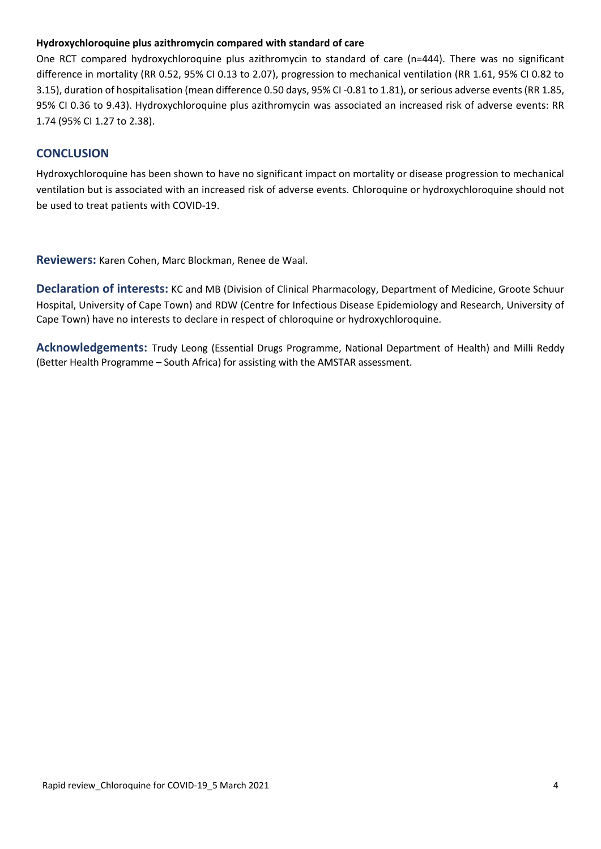## **Hydroxychloroquine plus azithromycin compared with standard of care**

One RCT compared hydroxychloroquine plus azithromycin to standard of care (n=444). There was no significant difference in mortality (RR 0.52, 95% CI 0.13 to 2.07), progression to mechanical ventilation (RR 1.61, 95% CI 0.82 to 3.15), duration of hospitalisation (mean difference 0.50 days, 95% CI -0.81 to 1.81), or serious adverse events (RR 1.85, 95% CI 0.36 to 9.43). Hydroxychloroquine plus azithromycin was associated an increased risk of adverse events: RR 1.74 (95% CI 1.27 to 2.38).

## **CONCLUSION**

Hydroxychloroquine has been shown to have no significant impact on mortality or disease progression to mechanical ventilation but is associated with an increased risk of adverse events. Chloroquine or hydroxychloroquine should not be used to treat patients with COVID-19.

**Reviewers:** Karen Cohen, Marc Blockman, Renee de Waal.

**Declaration of interests:** KC and MB (Division of Clinical Pharmacology, Department of Medicine, Groote Schuur Hospital, University of Cape Town) and RDW (Centre for Infectious Disease Epidemiology and Research, University of Cape Town) have no interests to declare in respect of chloroquine or hydroxychloroquine.

**Acknowledgements:** Trudy Leong (Essential Drugs Programme, National Department of Health) and Milli Reddy (Better Health Programme – South Africa) for assisting with the AMSTAR assessment.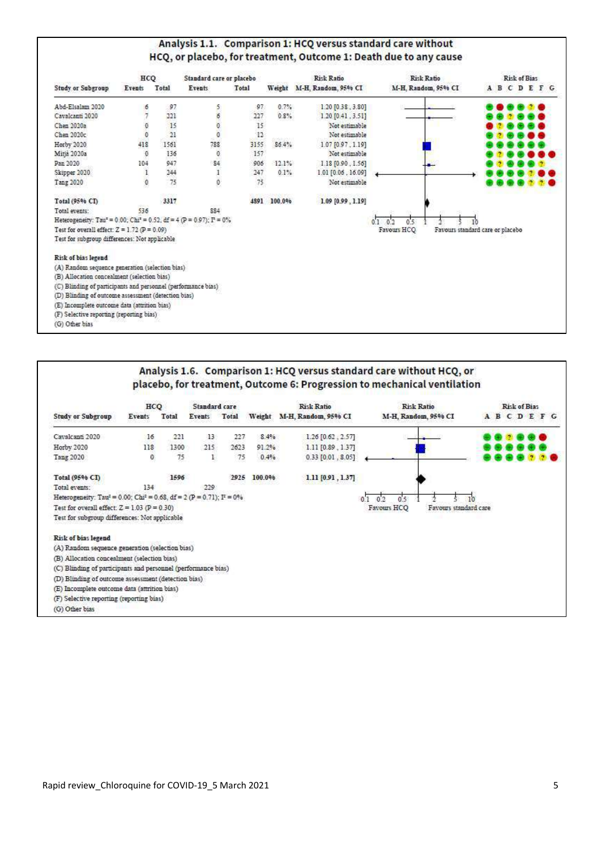## Analysis 1.1. Comparison 1: HCQ versus standard care without HCQ, or placebo, for treatment, Outcome 1: Death due to any cause

|                                                                                               | 04200<br>HCQ |             | Standard care or placebo |        |             | Risk Ratio          | <b>Risk Ratio</b>   | Risk of Bias                     |
|-----------------------------------------------------------------------------------------------|--------------|-------------|--------------------------|--------|-------------|---------------------|---------------------|----------------------------------|
| <b>Study or Subgroup</b>                                                                      | Events       | Total       | Events                   | Total  | Weight      | M-H. Random, 95% CI | M-H. Random, 95% CI | <b>ABCDEFG</b>                   |
| Abd-Elsalam 2020                                                                              | 6            | 97          |                          | .97.   | 0.7%        | 1.2010.38.3.801     |                     |                                  |
| Cavalcanti 2020                                                                               |              | 221         | $\frac{5}{2}$            | 227    | 0.8%        | 1,20 [0.41, 3.51]   |                     |                                  |
| Chen 2020a                                                                                    | O.           | 15          |                          | 15     |             | Not estimable       |                     |                                  |
| Chen 2020c                                                                                    | $\theta$     | 21          |                          | $12\,$ |             | Not estimable       |                     |                                  |
| Horby 2020                                                                                    | 418          | 1561        | 788                      | 3155   | 86.4%       | 1.07 [0.97, 1.19]   |                     |                                  |
| Mitja 2020a                                                                                   | $\mathbf 0$  | 136         | O.                       | 157    |             | Not estimable       |                     |                                  |
| Pan 2020                                                                                      | 104          | 947         | 84                       | 906    | 12.1%       | 1.18 [0.90, 1.56]   |                     |                                  |
| Skipper 2020                                                                                  | 1            | 244         |                          | 247    | 0.1%        | 1.01 [0.06, 16.09]  |                     |                                  |
| Tang 2020                                                                                     | o            | 75          | 1<br>0                   | $75\,$ |             | Not estimable       |                     |                                  |
| Total (95% CT)                                                                                |              | -10<br>3317 |                          |        | 4891 100.0% | 1.09 [0.99, 1.19]   |                     |                                  |
| Total events:                                                                                 | 536          |             | 884                      |        |             |                     |                     |                                  |
| Heterogeneity: Tau <sup>z</sup> = 0.00; Chi <sup>z</sup> = 0.52, df = 4 (P = 0.97); $P = 0\%$ |              |             |                          |        |             |                     | 0.5<br>0.1<br>0.2   |                                  |
| Test for overall effect: $Z = 1.72$ ( $P = 0.09$ )                                            |              |             |                          |        |             |                     | Favours HCQ         | Favours standard care or placebo |
| Test for subgroup differences: Not applicable                                                 |              |             |                          |        |             |                     |                     |                                  |
| Risk of bias legend                                                                           |              |             |                          |        |             |                     |                     |                                  |
| (A) Random sequence generation (selection bias)                                               |              |             |                          |        |             |                     |                     |                                  |
| (B) Allocation concealment (selection bias)                                                   |              |             |                          |        |             |                     |                     |                                  |
| (C) Blinding of participants and personnel (performance bias)                                 |              |             |                          |        |             |                     |                     |                                  |
| (D) Blinding of outcome assessment (detection bias)                                           |              |             |                          |        |             |                     |                     |                                  |
| (E) Incomplete outcome data (attrition bias)                                                  |              |             |                          |        |             |                     |                     |                                  |
| (F) Selective reporting (reporting bias)                                                      |              |             |                          |        |             |                     |                     |                                  |
| (G) Other bias                                                                                |              |             |                          |        |             |                     |                     |                                  |

## Analysis 1.6. Comparison 1: HCQ versus standard care without HCQ, or placebo, for treatment, Outcome 6: Progression to mechanical ventilation

|                                                                                               | HCQ    |       | Standard care |       |         | <b>Risk Ratio</b>      | <b>Risk Ratio</b>                    |  | <b>Risk of Bias</b> |                |  |
|-----------------------------------------------------------------------------------------------|--------|-------|---------------|-------|---------|------------------------|--------------------------------------|--|---------------------|----------------|--|
| <b>Study or Subgroup</b>                                                                      | Events | Total | Events        | Total | Weight  | M-H, Random, 95% CI    | M-H, Random, 95% CI                  |  |                     | <b>ABCDEFG</b> |  |
| Cavalcanti 2020                                                                               | 16     | 221   | 13            | 227   | 8.4%    | $1.26$ [0.62, $2.57$ ] |                                      |  |                     |                |  |
| Horby 2020                                                                                    | 118    | 1300  | 215           | 2623  | 91.2%   | 1.11 [0.89, 1.37]      |                                      |  |                     |                |  |
| Tang 2020                                                                                     | 0      | 75    |               | 75    | 0.4%    | $0.33$ $[0.01, 8.05]$  |                                      |  |                     |                |  |
| Total (95% CI)                                                                                |        | 1596  |               | 2925  | 100.096 | 1.11 [0.91, 1.37]      |                                      |  |                     |                |  |
| Total events:                                                                                 | 134    |       | 229           |       |         |                        |                                      |  |                     |                |  |
| Heterogeneity: Tau <sup>2</sup> = 0.00; Chi <sup>2</sup> = 0.68, df = 2 (P = 0.71); $F = 0\%$ |        |       |               |       |         |                        |                                      |  |                     |                |  |
| Test for overall effect: $Z = 1.03$ ( $P = 0.30$ )                                            |        |       |               |       |         |                        | Favours HCO<br>Favours standard care |  |                     |                |  |
| Test for subgroup differences: Not applicable                                                 |        |       |               |       |         |                        |                                      |  |                     |                |  |
| Risk of bias legend                                                                           |        |       |               |       |         |                        |                                      |  |                     |                |  |
| (A) Random sequence generation (selection bias)                                               |        |       |               |       |         |                        |                                      |  |                     |                |  |
| (B) Allocation concealment (selection bias)                                                   |        |       |               |       |         |                        |                                      |  |                     |                |  |
| (C) Blinding of participants and personnel (performance bias)                                 |        |       |               |       |         |                        |                                      |  |                     |                |  |
| (D) Blinding of outcome assessment (detection bias)                                           |        |       |               |       |         |                        |                                      |  |                     |                |  |
| (E) Incomplete outcome data (attrition bias)                                                  |        |       |               |       |         |                        |                                      |  |                     |                |  |
| (F) Selective reporting (reporting bias)                                                      |        |       |               |       |         |                        |                                      |  |                     |                |  |
| (G) Other bias                                                                                |        |       |               |       |         |                        |                                      |  |                     |                |  |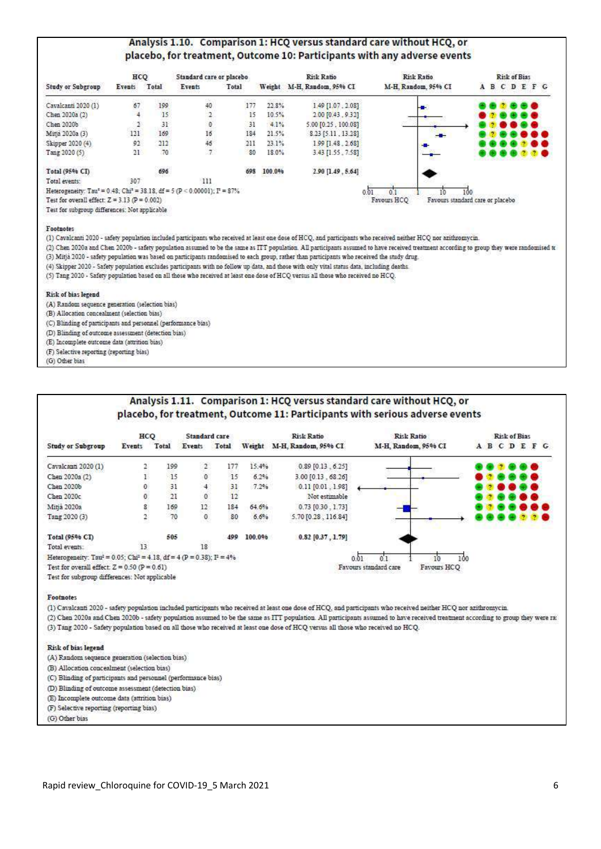### Analysis 1.10. Comparison 1: HCO versus standard care without HCO, or placebo, for treatment, Outcome 10: Participants with any adverse events

|                                                                                                         | 22022317<br>HCQ |          | Standard care or placebo |       |                       | Risk Ratio                 | <b>Risk Ratio</b>   | Risk of Bias                     |
|---------------------------------------------------------------------------------------------------------|-----------------|----------|--------------------------|-------|-----------------------|----------------------------|---------------------|----------------------------------|
| <b>Study or Subgroup</b>                                                                                | Events          | Total    | Events                   | Total |                       | Weight M-H. Random. 95% CI | M-H. Random, 95% CI | <b>ABCDEFG</b>                   |
| Cavalcanti 2020 (1)                                                                                     | 67              | 199      | 40                       | 177   | 22.8%                 | $1.49$ [1.07, 2.08]        | H                   | .                                |
| Chen 2020a (2)                                                                                          |                 | 15       |                          | 15    | 10.5%                 | 2.00 [0.43, 9.32]          |                     |                                  |
| Chen 2020b                                                                                              |                 | 31       | o                        | 31    | 4.1%                  | 5.00 [0.25, 100.08]        |                     |                                  |
| Mitja 2020a (3)                                                                                         | 121             | 169      | 16                       | 184   | 21.5%                 | 8.23 [5.11, 13.28]         | --                  |                                  |
| Skipper 2020 (4)                                                                                        | 92              | 212      | 46                       | 211   | 23.1%                 | 19911.48.2.681             |                     |                                  |
| Tang 2020 (5)                                                                                           | 21              | 70       | $\overline{7}$           | 80    | 18.0%                 | 3.43 [1.55.7.58]           |                     |                                  |
| Total (95% CI)                                                                                          |                 | 696      |                          | 698   | 53-40750730<br>100.0% | 2.90 [1.49, 5.64]          |                     |                                  |
| Total events:                                                                                           | 307             | 362,6900 | 111                      |       |                       |                            |                     |                                  |
| Heterogeneity: Tau <sup>2</sup> = 0.48; Chi <sup>2</sup> = 38.18, df = $5 (P < 0.00001)$ ; $I^2 = 87\%$ |                 |          |                          |       |                       |                            |                     | 100                              |
| Test for overall effect: $Z = 3.13$ (P = 0.002)                                                         |                 |          |                          |       |                       |                            | Favours HCQ         | Favours standard care or placebo |
| Test for subgroup differences: Not applicable                                                           |                 |          |                          |       |                       |                            |                     |                                  |

#### Footnotes

(1) Cavalcanti 2020 - safety population included participants who received at least one dose of HCQ, and participants who received neither HCQ nor azithromycin.

(2) Chen 2020a and Chen 2020b - safety population assumed to be the same as ITT population. All participants assumed to have received treatment according to group they were randomised to (3) Mitja 2020 - safety population was based on participants randomised to each group, rather than participants who received the study drug.

(4) Skipper 2020 - Safety population excludes participants with no follow up data, and those with only vital status data, including deaths.

(5) Tang 2020 - Safety population based on all those who received at least one dose of HCQ versus all those who received no HCQ.

Risk of bias legend

(A) Random sequence generation (selection bias)

(B) Allocation concealment (selection bias)

(C) Blinding of participants and personnel (performance bias)

(D) Blinding of outcome assessment (detection bias)

(E) Incomplete outcome data (attrition bias)

(F) Selective reporting (reporting bias)

(G) Other bias

## Analysis 1.11. Comparison 1: HCQ versus standard care without HCQ, or placebo, for treatment, Outcome 11: Participants with serious adverse events

|                                                                                                | HCQ                |                                         | Standard care        |       |         | <b>Risk Ratio</b>   | Risk Ratio                           | Risk of Bias  |
|------------------------------------------------------------------------------------------------|--------------------|-----------------------------------------|----------------------|-------|---------|---------------------|--------------------------------------|---------------|
| <b>Study or Subgroup</b>                                                                       | Events             | Total                                   | Events               | Total | Weight  | M-H. Random, 95% CI | M-H. Random, 95% CI                  | A B C D E F G |
| Cavalcanti 2020 (1)                                                                            |                    | 199                                     | $\mathbf{2}^{\circ}$ | 177   | 15.4%   | $0.89$ [0.13, 6.25] |                                      | - -           |
| Chen 2020a (2)                                                                                 |                    | $-15$                                   | ö                    | 15    | 6.2%    | 3.00 [0.13, 68.26]  |                                      |               |
| Chen 2020b                                                                                     | 0                  |                                         |                      | 31    | 7.2%    | $0.11$ [0.01, 1.98] |                                      |               |
| Chen 2020c                                                                                     | $\hat{\mathbf{o}}$ | $\begin{array}{c} 31 \\ 21 \end{array}$ | $\overline{0}$       | 12    |         | Not estimable       |                                      | 9 G           |
| Mitja 2020a                                                                                    | 8                  | 169                                     | $12\,$               | 184   | 64.6%   | $0.73$ [0.30, 1.73] |                                      | B 8           |
| Tang 2020 (3)                                                                                  |                    | 70                                      | $\overline{0}$       | 80    | 6.6%    | 5.70 [0.28, 116.84] |                                      | 2 G           |
| Total (95% CT)                                                                                 |                    | 505                                     |                      | 499   | 100.096 | $0.82$ [0.37, 1.79] |                                      |               |
| Total events:                                                                                  | 13                 |                                         | 18                   |       |         |                     |                                      |               |
| Heterogeneity: Tau <sup>2</sup> = 0.05; Chi <sup>2</sup> = 4.18, df = 4 (P = 0.38); $I^2$ = 4% |                    |                                         |                      |       |         |                     | 0.01                                 | 100           |
| Test for overall effect: $Z = 0.50$ ( $P = 0.61$ )                                             |                    |                                         |                      |       |         |                     | Favours HCQ<br>Favours standard care |               |
| Test for subgroup differences: Not applicable                                                  |                    |                                         |                      |       |         |                     |                                      |               |

#### Footnotes

(1) Cavalcanti 2020 - safety population included participants who received at least one dose of HCQ, and participants who received neither HCQ nor azithromycin.

(2) Chen 2020a and Chen 2020b - safety population assumed to be the same as ITT population. All participants assumed to have received treatment according to group they were ra: (3) Tang 2020 - Safety population based on all those who received at least one dose of HCQ versus all those who received no HCQ.

#### Risk of bias legend

(A) Random sequence generation (selection bias)

(B) Allocation concealment (selection bias)

(C) Blinding of participants and personnel (performance bias)

(D) Blinding of outcome assessment (detection bias)

(E) Incomplete outcome data (attrition bias)

(F) Selective reporting (reporting bias)

(G) Other bias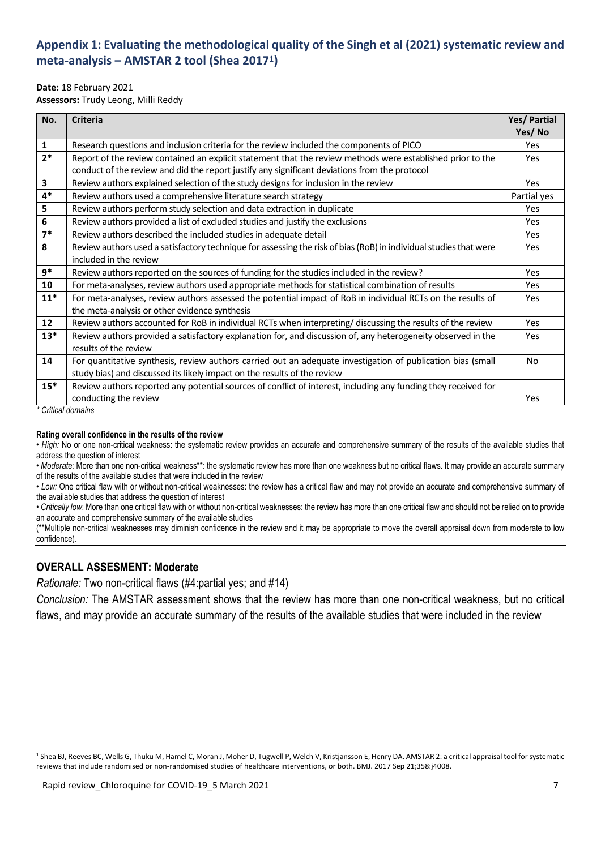# **Appendix 1: Evaluating the methodological quality of the Singh et al (2021) systematic review and meta-analysis – AMSTAR 2 tool (Shea 2017**1**)**

## **Date:** 18 February 2021

**Assessors:** Trudy Leong, Milli Reddy

| No.                     | <b>Criteria</b>                                                                                                   | Yes/ Partial |  |  |  |  |  |
|-------------------------|-------------------------------------------------------------------------------------------------------------------|--------------|--|--|--|--|--|
|                         |                                                                                                                   | Yes/No       |  |  |  |  |  |
| 1                       | Research questions and inclusion criteria for the review included the components of PICO                          | Yes          |  |  |  |  |  |
| $2*$                    | Report of the review contained an explicit statement that the review methods were established prior to the        |              |  |  |  |  |  |
|                         | conduct of the review and did the report justify any significant deviations from the protocol                     |              |  |  |  |  |  |
| $\overline{\mathbf{3}}$ | Review authors explained selection of the study designs for inclusion in the review                               | Yes          |  |  |  |  |  |
| $4*$                    | Review authors used a comprehensive literature search strategy                                                    | Partial yes  |  |  |  |  |  |
| 5                       | Review authors perform study selection and data extraction in duplicate                                           | Yes          |  |  |  |  |  |
| 6                       | Review authors provided a list of excluded studies and justify the exclusions                                     | Yes          |  |  |  |  |  |
| $7*$                    | Review authors described the included studies in adequate detail                                                  | Yes          |  |  |  |  |  |
| 8                       | Review authors used a satisfactory technique for assessing the risk of bias (RoB) in individual studies that were |              |  |  |  |  |  |
|                         | included in the review                                                                                            |              |  |  |  |  |  |
| $9*$                    | Review authors reported on the sources of funding for the studies included in the review?                         | Yes          |  |  |  |  |  |
| 10                      | For meta-analyses, review authors used appropriate methods for statistical combination of results                 | Yes          |  |  |  |  |  |
| $11*$                   | For meta-analyses, review authors assessed the potential impact of RoB in individual RCTs on the results of       | Yes          |  |  |  |  |  |
|                         | the meta-analysis or other evidence synthesis                                                                     |              |  |  |  |  |  |
| 12                      | Review authors accounted for RoB in individual RCTs when interpreting/ discussing the results of the review       | Yes          |  |  |  |  |  |
| $13*$                   | Review authors provided a satisfactory explanation for, and discussion of, any heterogeneity observed in the      | Yes          |  |  |  |  |  |
|                         | results of the review                                                                                             |              |  |  |  |  |  |
| 14                      | For quantitative synthesis, review authors carried out an adequate investigation of publication bias (small       | No           |  |  |  |  |  |
|                         | study bias) and discussed its likely impact on the results of the review                                          |              |  |  |  |  |  |
| $15*$                   | Review authors reported any potential sources of conflict of interest, including any funding they received for    |              |  |  |  |  |  |
|                         | conducting the review<br>* Critical domains                                                                       | Yes          |  |  |  |  |  |

*\* Critical domains*

 $\overline{\phantom{a}}$ 

#### **Rating overall confidence in the results of the review**

• *High:* No or one non-critical weakness: the systematic review provides an accurate and comprehensive summary of the results of the available studies that address the question of interest

*• Moderate:* More than one non-critical weakness\*\*: the systematic review has more than one weakness but no critical flaws. It may provide an accurate summary of the results of the available studies that were included in the review

*• Low:* One critical flaw with or without non-critical weaknesses: the review has a critical flaw and may not provide an accurate and comprehensive summary of the available studies that address the question of interest

• *Critically low*: More than one critical flaw with or without non-critical weaknesses: the review has more than one critical flaw and should not be relied on to provide an accurate and comprehensive summary of the available studies

(\*\*Multiple non-critical weaknesses may diminish confidence in the review and it may be appropriate to move the overall appraisal down from moderate to low confidence).

## **OVERALL ASSESMENT: Moderate**

*Rationale:* Two non-critical flaws (#4:partial yes; and #14)

*Conclusion:* The AMSTAR assessment shows that the review has more than one non-critical weakness, but no critical flaws, and may provide an accurate summary of the results of the available studies that were included in the review

<sup>&</sup>lt;sup>1</sup> Shea BJ, Reeves BC, Wells G, Thuku M, Hamel C, Moran J, Moher D, Tugwell P, Welch V, Kristjansson E, Henry DA. AMSTAR 2: a critical appraisal tool for systematic reviews that include randomised or non-randomised studies of healthcare interventions, or both. BMJ. 2017 Sep 21;358:j4008.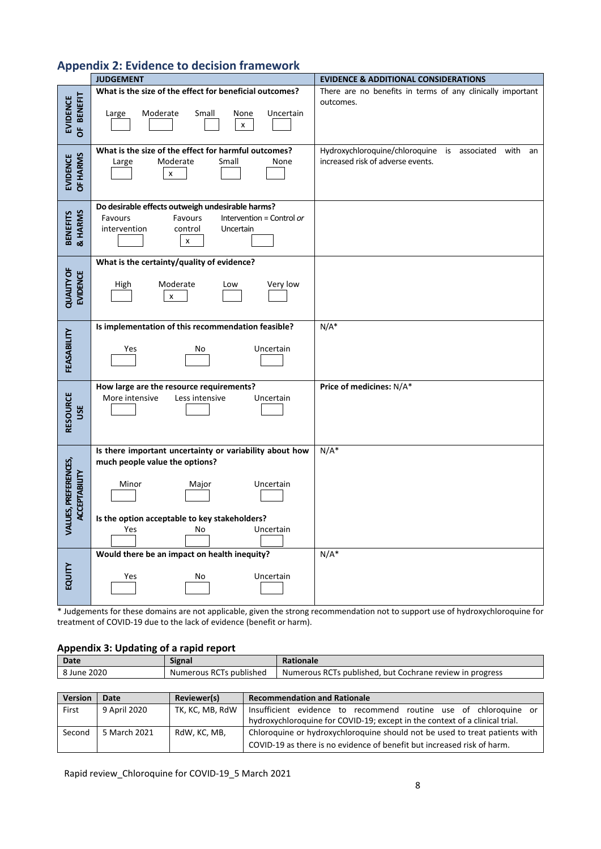# **Appendix 2: Evidence to decision framework**

|                                                     | <b>JUDGEMENT</b>                                                                          | <b>EVIDENCE &amp; ADDITIONAL CONSIDERATIONS</b>                         |
|-----------------------------------------------------|-------------------------------------------------------------------------------------------|-------------------------------------------------------------------------|
|                                                     | What is the size of the effect for beneficial outcomes?                                   | There are no benefits in terms of any clinically important<br>outcomes. |
| <b>BENEFIT</b><br><b>EVIDENCE</b><br>$\overline{5}$ | Moderate<br>Small<br>Large<br>None<br>Uncertain<br>X                                      |                                                                         |
|                                                     | What is the size of the effect for harmful outcomes?                                      | Hydroxychloroquine/chloroquine is associated with<br>an                 |
| EVIDENCE<br>OF HARMS                                | Moderate<br>Small<br>None<br>Large<br>x                                                   | increased risk of adverse events.                                       |
|                                                     | Do desirable effects outweigh undesirable harms?                                          |                                                                         |
|                                                     | Favours<br>Favours<br>Intervention = Control or<br>intervention<br>control<br>Uncertain   |                                                                         |
| BENEFITS<br>& HARMS                                 | X                                                                                         |                                                                         |
|                                                     | What is the certainty/quality of evidence?                                                |                                                                         |
| <b>QUALITY OF</b><br>EVIDENCE                       | Moderate<br>Very low<br>High<br>Low                                                       |                                                                         |
|                                                     | x                                                                                         |                                                                         |
|                                                     |                                                                                           |                                                                         |
|                                                     | Is implementation of this recommendation feasible?                                        | $N/A^*$                                                                 |
| FEASABILITY                                         | Yes<br>Uncertain<br>No                                                                    |                                                                         |
|                                                     |                                                                                           |                                                                         |
|                                                     |                                                                                           |                                                                         |
|                                                     | How large are the resource requirements?<br>Less intensive<br>More intensive<br>Uncertain | Price of medicines: N/A*                                                |
| USE                                                 |                                                                                           |                                                                         |
| RESOURCE                                            |                                                                                           |                                                                         |
|                                                     |                                                                                           |                                                                         |
|                                                     | Is there important uncertainty or variability about how<br>much people value the options? | $N/A^*$                                                                 |
|                                                     |                                                                                           |                                                                         |
| LUES, PREFERENCES,<br><b>ACCEPTABILITY</b>          | Minor<br>Major<br>Uncertain                                                               |                                                                         |
|                                                     |                                                                                           |                                                                         |
|                                                     | Is the option acceptable to key stakeholders?                                             |                                                                         |
| ℥                                                   | Yes<br>Uncertain<br>No                                                                    |                                                                         |
|                                                     | Would there be an impact on health inequity?                                              | $N/A^*$                                                                 |
|                                                     |                                                                                           |                                                                         |
| EQUITY                                              | Uncertain<br>Yes<br>No                                                                    |                                                                         |
|                                                     |                                                                                           |                                                                         |

\* Judgements for these domains are not applicable, given the strong recommendation not to support use of hydroxychloroquine for treatment of COVID-19 due to the lack of evidence (benefit or harm).

#### **Appendix 3: Updating of a rapid report**

| Date        | <b>Signal</b>           | <b>Rationale</b>                                         |
|-------------|-------------------------|----------------------------------------------------------|
| 8 June 2020 | Numerous RCTs published | Numerous RCTs published, but Cochrane review in progress |
|             |                         |                                                          |

| <b>Version</b> | Date         | Reviewer(s)     | <b>Recommendation and Rationale</b>                                         |
|----------------|--------------|-----------------|-----------------------------------------------------------------------------|
| First          | 9 April 2020 | TK, KC, MB, RdW | Insufficient evidence to recommend routine use of chloroquine or            |
|                |              |                 | hydroxychloroquine for COVID-19; except in the context of a clinical trial. |
| Second         | 5 March 2021 | RdW, KC, MB,    | Chloroquine or hydroxychloroquine should not be used to treat patients with |
|                |              |                 | COVID-19 as there is no evidence of benefit but increased risk of harm.     |